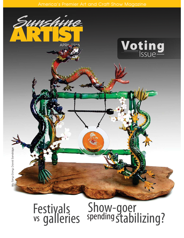

## Festivals<br>vs galleries Festivals Show-goer<br>vs galleries spending stabilizing?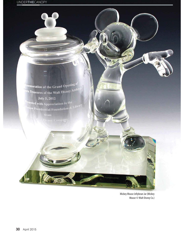memoration of the Grand Opening of ats Treasures of the Walt Disney Archiveness of the Walt Disney Archive July 5, 2012 <sup>esented</sup> with Appreciation to the sated with Appreciation to the Library<br><sup>San</sup> Presidential Foundation & Library

Mickey Mouse Jellybean Jar (Mickey Mouse © Walt Disney Co.)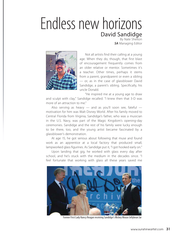## Endless new horizons David Sandidge

By Nate Shelton *SA* Managing Editor



Not all artists find their calling at a young age. When they do, though, that first blast of encouragement frequently comes from an older relative or mentor. Sometimes it's a teacher. Other times, perhaps it stems from a parent, grandparent or even a sibling — or, as in the case of glassblower David Sandidge, a parent's sibling. Specifically, his uncle Donald.

"He inspired me at a young age to draw and sculpt with clay," Sandidge recalled. "I knew then that 3-D was more of an attraction to me."

Also serving as heavy  $-$  and as you'll soon see, fateful  $$ motivation for him was Walt Disney World. After his family moved to Central Florida from Virginia, Sandidge's father, who was a musician in the U.S. Navy, was part of the Magic Kingdom's opening-day ceremonies. Sandidge and the rest of his family were lucky enough to be there, too, and the young artist became fascinated by a glassblower's demonstration.

At age 15, he got serious about following that muse and found work as an apprentice at a local factory that produced small, lampworked glass figurines. As Sandidge put it, "I got hooked early on."

Upon landing that gig, he worked with glass every day after school, and he's stuck with the medium in the decades since. "I feel fortunate that working with glass all these years saved me



Former First Lady Nancy Reagan receiving Sandidge's Mickey Mouse Jellybean Jar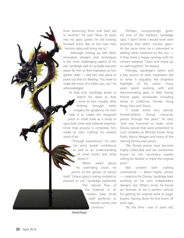from bouncing from one bad job fro to another," he said. "Now, 35 years into my glass career, I'm still looking forward every day to the next new horizon glass will bring me to."

Although coming up with fresh, innovative designs and techniques is the most challenging aspect of his job, Sandidge said it's actually become easier for him to find inspiration as he's gotten older — but he's also quick to point out that it's fleeting. "You have to make the most of it when you can," he acknowledged.

To that end, Sandidge tends to sketch his ideas as they come to him. Usually, after through other imagery for guidance, his next step is to create the imagined piece in small scale as a study to save both time and material expense. Once that process is complete, he's ready to start crafting his newest work of art. work looking

> "Through experience," he said, "an artist builds confidence artist b as well as an understanding of what works and what doesn't."

asked about his overriding vision, he points to the glories of nature itself. "Unless glass is being molded or pressed or cut," Sandidge explained, "the natural flow of n When

the material in its molten state lends mo itself perfectly to natural curves and n contours."

Perhaps unsurprisingly given his love of the medium, Sandidge said, "I don't think I would work with anything that didn't involve glass." At the same time, he is interested in adding other mediums to the mix if they share a happy synergy with his chosen material. "Glass and metal go so well together," he teased.

Fittingly, Sandidge's talent and a key source of early inspiration led to what is arguably the brightest highlight of his career: many years spent working with and demonstrating glass in Walt Disney theme parks worldwide, including those in California, Florida, Hong Kong, Paris and Tokyo.

"I made some very special, limited-edition Disney character pieces through the years," he said, "and was honored to make some Disney pieces that were presented to such notables as Michael Eisner, Rosa Parks, Nancy Reagan and many of the retiring Disney executives.

"My Disney pieces have become highly collectible and are sometimes found on the secondary market selling for double or triple the original price."

Not content with crafting commercial — albeit highly artistic — creations for Disney, Sandidge kept working on his own independent designs, too. What's more, he found art festivals to be a perfect vehicle for getting his original work to eager buyers, having done his first event 29 years ago.

"By the time I was 21 years old,

Oriental Dragon